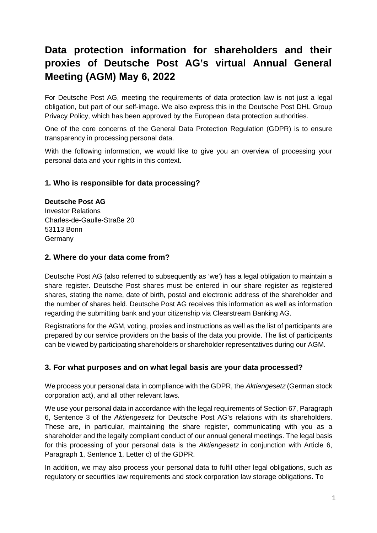# **Data protection information for shareholders and their proxies of Deutsche Post AG's virtual Annual General Meeting (AGM) May 6, 2022**

For Deutsche Post AG, meeting the requirements of data protection law is not just a legal obligation, but part of our self-image. We also express this in the Deutsche Post DHL Group Privacy Policy, which has been approved by the European data protection authorities.

One of the core concerns of the General Data Protection Regulation (GDPR) is to ensure transparency in processing personal data.

With the following information, we would like to give you an overview of processing your personal data and your rights in this context.

## **1. Who is responsible for data processing?**

**Deutsche Post AG** Investor Relations Charles-de-Gaulle-Straße 20 53113 Bonn Germany

## **2. Where do your data come from?**

Deutsche Post AG (also referred to subsequently as 'we') has a legal obligation to maintain a share register. Deutsche Post shares must be entered in our share register as registered shares, stating the name, date of birth, postal and electronic address of the shareholder and the number of shares held. Deutsche Post AG receives this information as well as information regarding the submitting bank and your citizenship via Clearstream Banking AG.

Registrations for the AGM, voting, proxies and instructions as well as the list of participants are prepared by our service providers on the basis of the data you provide. The list of participants can be viewed by participating shareholders or shareholder representatives during our AGM.

# **3. For what purposes and on what legal basis are your data processed?**

We process your personal data in compliance with the GDPR, the *Aktiengesetz* (German stock corporation act), and all other relevant laws.

We use your personal data in accordance with the legal requirements of Section 67, Paragraph 6, Sentence 3 of the *Aktiengesetz* for Deutsche Post AG's relations with its shareholders. These are, in particular, maintaining the share register, communicating with you as a shareholder and the legally compliant conduct of our annual general meetings. The legal basis for this processing of your personal data is the *Aktiengesetz* in conjunction with Article 6, Paragraph 1, Sentence 1, Letter c) of the GDPR.

In addition, we may also process your personal data to fulfil other legal obligations, such as regulatory or securities law requirements and stock corporation law storage obligations. To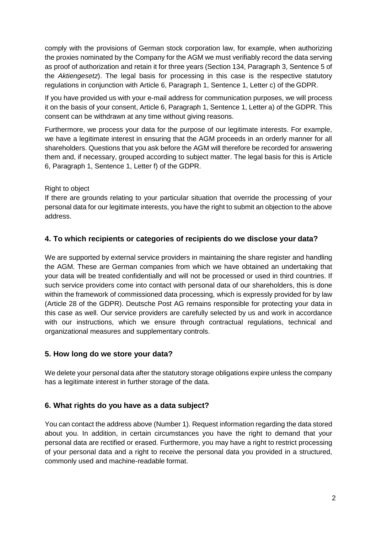comply with the provisions of German stock corporation law, for example, when authorizing the proxies nominated by the Company for the AGM we must verifiably record the data serving as proof of authorization and retain it for three years (Section 134, Paragraph 3, Sentence 5 of the *Aktiengesetz*). The legal basis for processing in this case is the respective statutory regulations in conjunction with Article 6, Paragraph 1, Sentence 1, Letter c) of the GDPR.

If you have provided us with your e-mail address for communication purposes, we will process it on the basis of your consent, Article 6, Paragraph 1, Sentence 1, Letter a) of the GDPR. This consent can be withdrawn at any time without giving reasons.

Furthermore, we process your data for the purpose of our legitimate interests. For example, we have a legitimate interest in ensuring that the AGM proceeds in an orderly manner for all shareholders. Questions that you ask before the AGM will therefore be recorded for answering them and, if necessary, grouped according to subject matter. The legal basis for this is Article 6, Paragraph 1, Sentence 1, Letter f) of the GDPR.

#### Right to object

If there are grounds relating to your particular situation that override the processing of your personal data for our legitimate interests, you have the right to submit an objection to the above address.

# **4. To which recipients or categories of recipients do we disclose your data?**

We are supported by external service providers in maintaining the share register and handling the AGM. These are German companies from which we have obtained an undertaking that your data will be treated confidentially and will not be processed or used in third countries. If such service providers come into contact with personal data of our shareholders, this is done within the framework of commissioned data processing, which is expressly provided for by law (Article 28 of the GDPR). Deutsche Post AG remains responsible for protecting your data in this case as well. Our service providers are carefully selected by us and work in accordance with our instructions, which we ensure through contractual regulations, technical and organizational measures and supplementary controls.

# **5. How long do we store your data?**

We delete your personal data after the statutory storage obligations expire unless the company has a legitimate interest in further storage of the data.

# **6. What rights do you have as a data subject?**

You can contact the address above (Number 1). Request information regarding the data stored about you. In addition, in certain circumstances you have the right to demand that your personal data are rectified or erased. Furthermore, you may have a right to restrict processing of your personal data and a right to receive the personal data you provided in a structured, commonly used and machine-readable format.